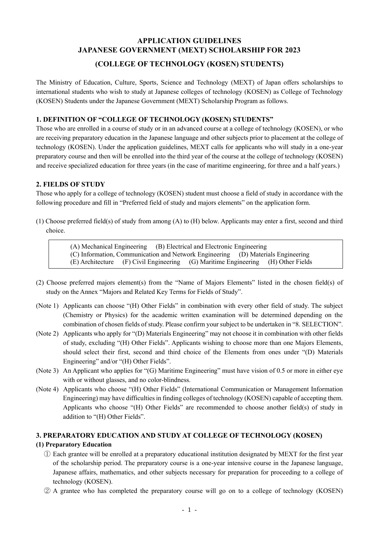# **APPLICATION GUIDELINES JAPANESE GOVERNMENT (MEXT) SCHOLARSHIP FOR 2023**

### **(COLLEGE OF TECHNOLOGY (KOSEN) STUDENTS)**

The Ministry of Education, Culture, Sports, Science and Technology (MEXT) of Japan offers scholarships to international students who wish to study at Japanese colleges of technology (KOSEN) as College of Technology (KOSEN) Students under the Japanese Government (MEXT) Scholarship Program as follows.

#### **1. DEFINITION OF "COLLEGE OF TECHNOLOGY (KOSEN) STUDENTS"**

Those who are enrolled in a course of study or in an advanced course at a college of technology (KOSEN), or who are receiving preparatory education in the Japanese language and other subjects prior to placement at the college of technology (KOSEN). Under the application guidelines, MEXT calls for applicants who will study in a one-year preparatory course and then will be enrolled into the third year of the course at the college of technology (KOSEN) and receive specialized education for three years (in the case of maritime engineering, for three and a half years.)

#### **2. FIELDS OF STUDY**

Those who apply for a college of technology (KOSEN) student must choose a field of study in accordance with the following procedure and fill in "Preferred field of study and majors elements" on the application form.

(1) Choose preferred field(s) of study from among (A) to (H) below. Applicants may enter a first, second and third choice.

> (A) Mechanical Engineering (B) Electrical and Electronic Engineering (C) Information, Communication and Network Engineering (D) Materials Engineering (E) Architecture (F) Civil Engineering (G) Maritime Engineering (H) Other Fields

- (2) Choose preferred majors element(s) from the "Name of Majors Elements" listed in the chosen field(s) of study on the Annex "Majors and Related Key Terms for Fields of Study".
- (Note 1) Applicants can choose "(H) Other Fields" in combination with every other field of study. The subject (Chemistry or Physics) for the academic written examination will be determined depending on the combination of chosen fields of study. Please confirm your subject to be undertaken in "8. SELECTION".
- (Note 2) Applicants who apply for "(D) Materials Engineering" may not choose it in combination with other fields of study, excluding "(H) Other Fields". Applicants wishing to choose more than one Majors Elements, should select their first, second and third choice of the Elements from ones under "(D) Materials Engineering" and/or "(H) Other Fields".
- (Note 3) An Applicant who applies for "(G) Maritime Engineering" must have vision of 0.5 or more in either eye with or without glasses, and no color-blindness.
- (Note 4) Applicants who choose "(H) Other Fields" (International Communication or Management Information Engineering) may have difficulties in finding colleges of technology (KOSEN) capable of accepting them. Applicants who choose "(H) Other Fields" are recommended to choose another field(s) of study in addition to "(H) Other Fields".

#### **3. PREPARATORY EDUCATION AND STUDY AT COLLEGE OF TECHNOLOGY (KOSEN)**

#### **(1) Preparatory Education**

- ① Each grantee will be enrolled at a preparatory educational institution designated by MEXT for the first year of the scholarship period. The preparatory course is a one-year intensive course in the Japanese language, Japanese affairs, mathematics, and other subjects necessary for preparation for proceeding to a college of technology (KOSEN).
- ② A grantee who has completed the preparatory course will go on to a college of technology (KOSEN)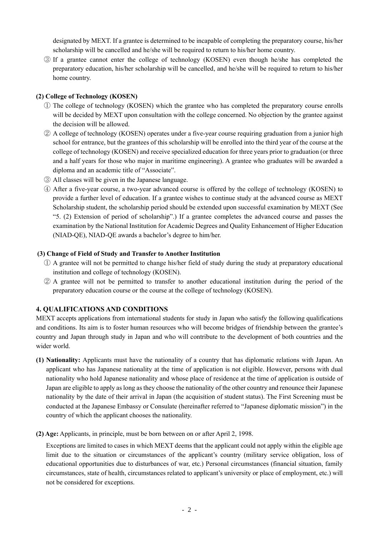designated by MEXT. If a grantee is determined to be incapable of completing the preparatory course, his/her scholarship will be cancelled and he/she will be required to return to his/her home country.

③ If a grantee cannot enter the college of technology (KOSEN) even though he/she has completed the preparatory education, his/her scholarship will be cancelled, and he/she will be required to return to his/her home country.

### **(2) College of Technology (KOSEN)**

- ① The college of technology (KOSEN) which the grantee who has completed the preparatory course enrolls will be decided by MEXT upon consultation with the college concerned. No objection by the grantee against the decision will be allowed.
- ② A college of technology (KOSEN) operates under a five-year course requiring graduation from a junior high school for entrance, but the grantees of this scholarship will be enrolled into the third year of the course at the college of technology (KOSEN) and receive specialized education for three years prior to graduation (or three and a half years for those who major in maritime engineering). A grantee who graduates will be awarded a diploma and an academic title of "Associate".
- ③ All classes will be given in the Japanese language.
- ④ After a five-year course, a two-year advanced course is offered by the college of technology (KOSEN) to provide a further level of education. If a grantee wishes to continue study at the advanced course as MEXT Scholarship student, the scholarship period should be extended upon successful examination by MEXT (See "5. (2) Extension of period of scholarship".) If a grantee completes the advanced course and passes the examination by the National Institution for Academic Degrees and Quality Enhancement of Higher Education (NIAD-QE), NIAD-QE awards a bachelor's degree to him/her.

### **(3) Change of Field of Study and Transfer to Another Institution**

- ① A grantee will not be permitted to change his/her field of study during the study at preparatory educational institution and college of technology (KOSEN).
- ② A grantee will not be permitted to transfer to another educational institution during the period of the preparatory education course or the course at the college of technology (KOSEN).

## **4. QUALIFICATIONS AND CONDITIONS**

MEXT accepts applications from international students for study in Japan who satisfy the following qualifications and conditions. Its aim is to foster human resources who will become bridges of friendship between the grantee's country and Japan through study in Japan and who will contribute to the development of both countries and the wider world.

- **(1) Nationality:** Applicants must have the nationality of a country that has diplomatic relations with Japan. An applicant who has Japanese nationality at the time of application is not eligible. However, persons with dual nationality who hold Japanese nationality and whose place of residence at the time of application is outside of Japan are eligible to apply aslong asthey choose the nationality of the other country and renounce their Japanese nationality by the date of their arrival in Japan (the acquisition of student status). The First Screening must be conducted at the Japanese Embassy or Consulate (hereinafter referred to "Japanese diplomatic mission") in the country of which the applicant chooses the nationality.
- **(2) Age:** Applicants, in principle, must be born between on or after April 2, 1998.

Exceptions are limited to cases in which MEXT deems that the applicant could not apply within the eligible age limit due to the situation or circumstances of the applicant's country (military service obligation, loss of educational opportunities due to disturbances of war, etc.) Personal circumstances (financial situation, family circumstances, state of health, circumstances related to applicant's university or place of employment, etc.) will not be considered for exceptions.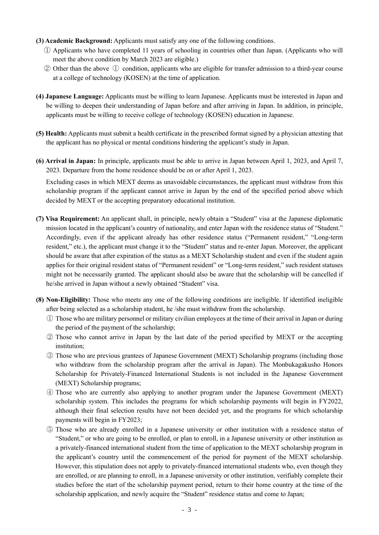- **(3) Academic Background:** Applicants must satisfy any one of the following conditions.
	- ① Applicants who have completed 11 years of schooling in countries other than Japan. (Applicants who will meet the above condition by March 2023 are eligible.)
	- ② Other than the above ① condition, applicants who are eligible for transfer admission to a third-year course at a college of technology (KOSEN) at the time of application.
- **(4) Japanese Language:** Applicants must be willing to learn Japanese. Applicants must be interested in Japan and be willing to deepen their understanding of Japan before and after arriving in Japan. In addition, in principle, applicants must be willing to receive college of technology (KOSEN) education in Japanese.
- **(5) Health:** Applicants must submit a health certificate in the prescribed format signed by a physician attesting that the applicant has no physical or mental conditions hindering the applicant's study in Japan.
- **(6) Arrival in Japan:** In principle, applicants must be able to arrive in Japan between April 1, 2023, and April 7, 2023. Departure from the home residence should be on or after April 1, 2023.

Excluding cases in which MEXT deems as unavoidable circumstances, the applicant must withdraw from this scholarship program if the applicant cannot arrive in Japan by the end of the specified period above which decided by MEXT or the accepting preparatory educational institution.

- **(7) Visa Requirement:** An applicant shall, in principle, newly obtain a "Student" visa at the Japanese diplomatic mission located in the applicant's country of nationality, and enter Japan with the residence status of "Student." Accordingly, even if the applicant already has other residence status ("Permanent resident," "Long-term resident," etc.), the applicant must change it to the "Student" status and re-enter Japan. Moreover, the applicant should be aware that after expiration of the status as a MEXT Scholarship student and even if the student again applies for their original resident status of "Permanent resident" or "Long-term resident," such resident statuses might not be necessarily granted. The applicant should also be aware that the scholarship will be cancelled if he/she arrived in Japan without a newly obtained "Student" visa.
- **(8) Non-Eligibility:** Those who meets any one of the following conditions are ineligible. If identified ineligible after being selected as a scholarship student, he /she must withdraw from the scholarship.
	- ① Those who are military personnel or military civilian employees at the time of their arrival in Japan or during the period of the payment of the scholarship;
	- ② Those who cannot arrive in Japan by the last date of the period specified by MEXT or the accepting institution;
	- ③ Those who are previous grantees of Japanese Government (MEXT) Scholarship programs (including those who withdraw from the scholarship program after the arrival in Japan). The Monbukagakusho Honors Scholarship for Privately-Financed International Students is not included in the Japanese Government (MEXT) Scholarship programs;
	- ④ Those who are currently also applying to another program under the Japanese Government (MEXT) scholarship system. This includes the programs for which scholarship payments will begin in FY2022, although their final selection results have not been decided yet, and the programs for which scholarship payments will begin in FY2023;
	- ⑤ Those who are already enrolled in a Japanese university or other institution with a residence status of "Student," or who are going to be enrolled, or plan to enroll, in a Japanese university or other institution as a privately-financed international student from the time of application to the MEXT scholarship program in the applicant's country until the commencement of the period for payment of the MEXT scholarship. However, this stipulation does not apply to privately-financed international students who, even though they are enrolled, or are planning to enroll, in a Japanese university or other institution, verifiably complete their studies before the start of the scholarship payment period, return to their home country at the time of the scholarship application, and newly acquire the "Student" residence status and come to Japan;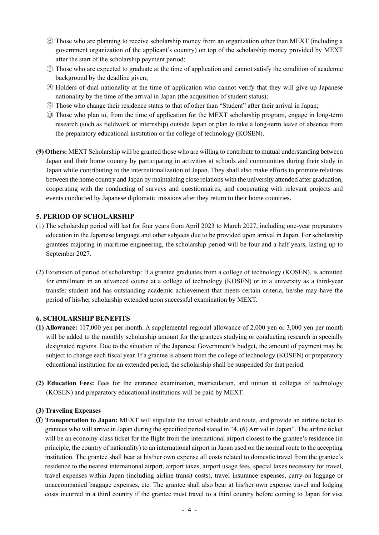- ⑥ Those who are planning to receive scholarship money from an organization other than MEXT (including a government organization of the applicant's country) on top of the scholarship money provided by MEXT after the start of the scholarship payment period;
- ⑦ Those who are expected to graduate at the time of application and cannot satisfy the condition of academic background by the deadline given;
- ⑧ Holders of dual nationality at the time of application who cannot verify that they will give up Japanese nationality by the time of the arrival in Japan (the acquisition of student status);
- ⑨ Those who change their residence status to that of other than "Student" after their arrival in Japan;
- ⑩ Those who plan to, from the time of application for the MEXT scholarship program, engage in long-term research (such as fieldwork or internship) outside Japan or plan to take a long-term leave of absence from the preparatory educational institution or the college of technology (KOSEN).
- **(9) Others:** MEXT Scholarship will be granted those who are willing to contribute to mutual understanding between Japan and their home country by participating in activities at schools and communities during their study in Japan while contributing to the internationalization of Japan. They shall also make efforts to promote relations between the home country and Japan by maintaining close relations with the university attended after graduation, cooperating with the conducting of surveys and questionnaires, and cooperating with relevant projects and events conducted by Japanese diplomatic missions after they return to their home countries.

### **5. PERIOD OF SCHOLARSHIP**

- (1) The scholarship period will last for four years from April 2023 to March 2027, including one-year preparatory education in the Japanese language and other subjects due to be provided upon arrival in Japan. For scholarship grantees majoring in maritime engineering, the scholarship period will be four and a half years, lasting up to September 2027.
- (2) Extension of period of scholarship: If a grantee graduates from a college of technology (KOSEN), is admitted for enrollment in an advanced course at a college of technology (KOSEN) or in a university as a third-year transfer student and has outstanding academic achievement that meets certain criteria, he/she may have the period of his/her scholarship extended upon successful examination by MEXT.

#### **6. SCHOLARSHIP BENEFITS**

- **(1) Allowance:** 117,000 yen per month. A supplemental regional allowance of 2,000 yen or 3,000 yen per month will be added to the monthly scholarship amount for the grantees studying or conducting research in specially designated regions. Due to the situation of the Japanese Government's budget, the amount of payment may be subject to change each fiscal year. If a grantee is absent from the college of technology (KOSEN) or preparatory educational institution for an extended period, the scholarship shall be suspended for that period.
- **(2) Education Fees:** Fees for the entrance examination, matriculation, and tuition at colleges of technology (KOSEN) and preparatory educational institutions will be paid by MEXT.

#### **(3) Traveling Expenses**

① **Transportation to Japan:** MEXT will stipulate the travel schedule and route, and provide an airline ticket to grantees who will arrive in Japan during the specified period stated in "4. (6) Arrival in Japan". The airline ticket will be an economy-class ticket for the flight from the international airport closest to the grantee's residence (in principle, the country of nationality) to an international airport in Japan used on the normal route to the accepting institution. The grantee shall bear at his/her own expense all costs related to domestic travel from the grantee's residence to the nearest international airport, airport taxes, airport usage fees, special taxes necessary for travel, travel expenses within Japan (including airline transit costs), travel insurance expenses, carry-on luggage or unaccompanied baggage expenses, etc. The grantee shall also bear at his/her own expense travel and lodging costs incurred in a third country if the grantee must travel to a third country before coming to Japan for visa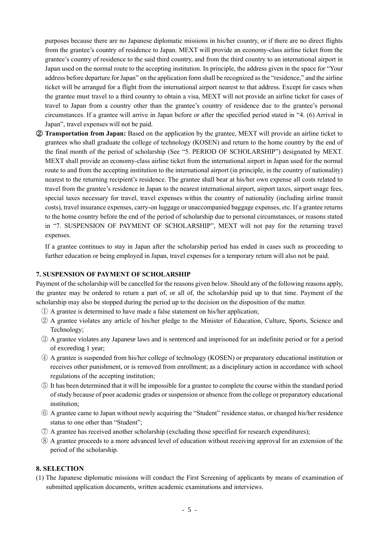purposes because there are no Japanese diplomatic missions in his/her country, or if there are no direct flights from the grantee's country of residence to Japan. MEXT will provide an economy-class airline ticket from the grantee's country of residence to the said third country, and from the third country to an international airport in Japan used on the normal route to the accepting institution. In principle, the address given in the space for "Your address before departure for Japan" on the application form shall be recognized as the "residence," and the airline ticket will be arranged for a flight from the international airport nearest to that address. Except for cases when the grantee must travel to a third country to obtain a visa, MEXT will not provide an airline ticket for cases of travel to Japan from a country other than the grantee's country of residence due to the grantee's personal circumstances. If a grantee will arrive in Japan before or after the specified period stated in "4. (6) Arrival in Japan", travel expenses will not be paid.

② **Transportation from Japan:** Based on the application by the grantee, MEXT will provide an airline ticket to grantees who shall graduate the college of technology (KOSEN) and return to the home country by the end of the final month of the period of scholarship (See "5. PERIOD OF SCHOLARSHIP") designated by MEXT. MEXT shall provide an economy-class airline ticket from the international airport in Japan used for the normal route to and from the accepting institution to the international airport (in principle, in the country of nationality) nearest to the returning recipient's residence. The grantee shall bear at his/her own expense all costs related to travel from the grantee's residence in Japan to the nearest international airport, airport taxes, airport usage fees, special taxes necessary for travel, travel expenses within the country of nationality (including airline transit costs), travel insurance expenses, carry-on luggage or unaccompanied baggage expenses, etc. If a grantee returns to the home country before the end of the period of scholarship due to personal circumstances, or reasons stated in "7. SUSPENSION OF PAYMENT OF SCHOLARSHIP", MEXT will not pay for the returning travel expenses.

If a grantee continues to stay in Japan after the scholarship period has ended in cases such as proceeding to further education or being employed in Japan, travel expenses for a temporary return will also not be paid.

#### **7. SUSPENSION OF PAYMENT OF SCHOLARSHIP**

Payment of the scholarship will be cancelled for the reasons given below. Should any of the following reasons apply, the grantee may be ordered to return a part of, or all of, the scholarship paid up to that time. Payment of the scholarship may also be stopped during the period up to the decision on the disposition of the matter.

- ① A grantee is determined to have made a false statement on his/her application;
- ② A grantee violates any article of his/her pledge to the Minister of Education, Culture, Sports, Science and Technology;
- ③ A grantee violates any Japanese laws and is sentenced and imprisoned for an indefinite period or for a period of exceeding 1 year;
- ④ A grantee is suspended from his/her college of technology (KOSEN) or preparatory educational institution or receives other punishment, or is removed from enrollment; as a disciplinary action in accordance with school regulations of the accepting institution;
- ⑤ It has been determined that it will be impossible for a grantee to complete the course within the standard period of study because of poor academic grades or suspension or absence from the college or preparatory educational institution;
- ⑥ A grantee came to Japan without newly acquiring the "Student" residence status, or changed his/her residence status to one other than "Student";
- ⑦ A grantee has received another scholarship (excluding those specified for research expenditures);
- ⑧ A grantee proceeds to a more advanced level of education without receiving approval for an extension of the period of the scholarship.

#### **8. SELECTION**

(1) The Japanese diplomatic missions will conduct the First Screening of applicants by means of examination of submitted application documents, written academic examinations and interviews.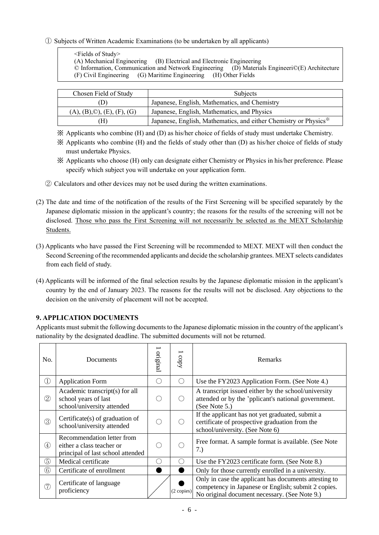### ① Subjects of Written Academic Examinations (to be undertaken by all applicants)

<Fields of Study>

(B) Electrical and Electronic Engineering<br>
(B) Materials Engineering (D) Materials Engineeri©(E) Architecture  $\odot$  Information, Communication and Network Engineering (F) Civil Engineering (G) Maritime Engineering (H) Other Fields

| Chosen Field of Study                  | <b>Subjects</b>                                                               |
|----------------------------------------|-------------------------------------------------------------------------------|
| D)                                     | Japanese, English, Mathematics, and Chemistry                                 |
| $(A), (B), \mathbb{O}), (E), (F), (G)$ | Japanese, English, Mathematics, and Physics                                   |
| H)                                     | Japanese, English, Mathematics, and either Chemistry or Physics <sup>**</sup> |

※ Applicants who combine (H) and (D) as his/her choice of fields of study must undertake Chemistry.

※ Applicants who combine (H) and the fields of study other than (D) as his/her choice of fields of study must undertake Physics.

※ Applicants who choose (H) only can designate either Chemistry or Physics in his/her preference. Please specify which subject you will undertake on your application form.

② Calculators and other devices may not be used during the written examinations.

- (2) The date and time of the notification of the results of the First Screening will be specified separately by the Japanese diplomatic mission in the applicant's country; the reasons for the results of the screening will not be disclosed. Those who pass the First Screening will not necessarily be selected as the MEXT Scholarship Students.
- (3) Applicants who have passed the First Screening will be recommended to MEXT. MEXT will then conduct the Second Screening of the recommended applicants and decide the scholarship grantees. MEXT selects candidates from each field of study.
- (4) Applicants will be informed of the final selection results by the Japanese diplomatic mission in the applicant's country by the end of January 2023. The reasons for the results will not be disclosed. Any objections to the decision on the university of placement will not be accepted.

## **9. APPLICATION DOCUMENTS**

Applicants must submit the following documents to the Japanese diplomatic mission in the country of the applicant's nationality by the designated deadline. The submitted documents will not be returned.

| No.                                  | Documents                                                                                    | original | copy                                              | Remarks                                                                                                                                                       |
|--------------------------------------|----------------------------------------------------------------------------------------------|----------|---------------------------------------------------|---------------------------------------------------------------------------------------------------------------------------------------------------------------|
| $\textcircled{\scriptsize{1}}$       | <b>Application Form</b>                                                                      |          | $\left(\begin{array}{c} \cdot \end{array}\right)$ | Use the FY2023 Application Form. (See Note 4.)                                                                                                                |
| $^{\small{\textcircled{\small{2}}}}$ | Academic transcript(s) for all<br>school years of last<br>school/university attended         |          |                                                   | A transcript issued either by the school/university<br>attended or by the 'pplicant's national government.<br>(See Note 5.)                                   |
| 3                                    | Certificate $(s)$ of graduation of<br>school/university attended                             |          |                                                   | If the applicant has not yet graduated, submit a<br>certificate of prospective graduation from the<br>school/university. (See Note 6)                         |
| $\left( 4\right)$                    | Recommendation letter from<br>either a class teacher or<br>principal of last school attended |          |                                                   | Free format. A sample format is available. (See Note<br>7.)                                                                                                   |
| 5                                    | Medical certificate                                                                          |          |                                                   | Use the FY2023 certificate form. (See Note 8.)                                                                                                                |
| 6                                    | Certificate of enrollment                                                                    |          |                                                   | Only for those currently enrolled in a university.                                                                                                            |
| (7)                                  | Certificate of language<br>proficiency                                                       |          | (2 copies)                                        | Only in case the applicant has documents attesting to<br>competency in Japanese or English; submit 2 copies.<br>No original document necessary. (See Note 9.) |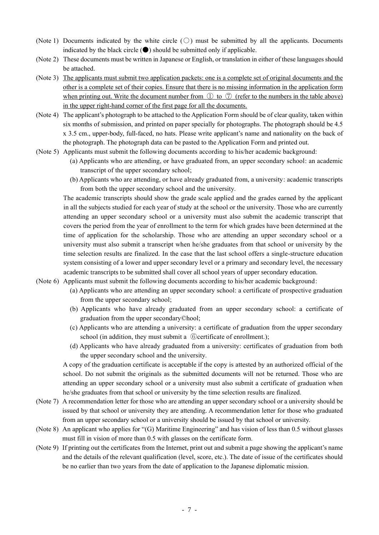- (Note 1) Documents indicated by the white circle  $(\bigcirc)$  must be submitted by all the applicants. Documents indicated by the black circle  $\odot$  should be submitted only if applicable.
- (Note 2) These documents must be written in Japanese or English, or translation in either of these languages should be attached.
- (Note 3) The applicants must submit two application packets: one is a complete set of original documents and the other is a complete set of their copies. Ensure that there is no missing information in the application form when printing out. Write the document number from  $\overline{1}$  to  $\overline{7}$  (refer to the numbers in the table above) in the upper right-hand corner of the first page for all the documents.
- (Note 4) The applicant's photograph to be attached to the Application Form should be of clear quality, taken within six months of submission, and printed on paper specially for photographs. The photograph should be 4.5 x 3.5 cm., upper-body, full-faced, no hats. Please write applicant's name and nationality on the back of the photograph. The photograph data can be pasted to the Application Form and printed out.
- (Note 5) Applicants must submit the following documents according to his/her academic background:
	- (a) Applicants who are attending, or have graduated from, an upper secondary school: an academic transcript of the upper secondary school;
	- (b) Applicants who are attending, or have already graduated from, a university: academic transcripts from both the upper secondary school and the university.

The academic transcripts should show the grade scale applied and the grades earned by the applicant in all the subjects studied for each year of study at the school or the university. Those who are currently attending an upper secondary school or a university must also submit the academic transcript that covers the period from the year of enrollment to the term for which grades have been determined at the time of application for the scholarship. Those who are attending an upper secondary school or a university must also submit a transcript when he/she graduates from that school or university by the time selection results are finalized. In the case that the last school offers a single-structure education system consisting of a lower and upper secondary level or a primary and secondary level, the necessary academic transcripts to be submitted shall cover all school years of upper secondary education.

- (Note 6) Applicants must submit the following documents according to his/her academic background:
	- (a) Applicants who are attending an upper secondary school: a certificate of prospective graduation from the upper secondary school;
	- (b) Applicants who have already graduated from an upper secondary school: a certificate of graduation from the upper secondary©hool;
	- (c) Applicants who are attending a university: a certificate of graduation from the upper secondary school (in addition, they must submit a  $\circled$  certificate of enrollment.);
	- (d) Applicants who have already graduated from a university: certificates of graduation from both the upper secondary school and the university.

A copy of the graduation certificate is acceptable if the copy is attested by an authorized official of the school. Do not submit the originals as the submitted documents will not be returned. Those who are attending an upper secondary school or a university must also submit a certificate of graduation when he/she graduates from that school or university by the time selection results are finalized.

- (Note 7) A recommendation letter for those who are attending an upper secondary school or a university should be issued by that school or university they are attending. A recommendation letter for those who graduated from an upper secondary school or a university should be issued by that school or university.
- (Note 8) An applicant who applies for "(G) Maritime Engineering" and has vision of less than 0.5 without glasses must fill in vision of more than 0.5 with glasses on the certificate form.
- (Note 9) If printing out the certificates from the Internet, print out and submit a page showing the applicant's name and the details of the relevant qualification (level, score, etc.). The date of issue of the certificates should be no earlier than two years from the date of application to the Japanese diplomatic mission.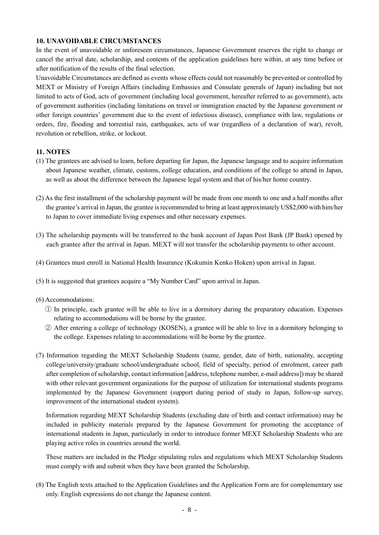#### **10. UNAVOIDABLE CIRCUMSTANCES**

In the event of unavoidable or unforeseen circumstances, Japanese Government reserves the right to change or cancel the arrival date, scholarship, and contents of the application guidelines here within, at any time before or after notification of the results of the final selection.

Unavoidable Circumstances are defined as events whose effects could not reasonably be prevented or controlled by MEXT or Ministry of Foreign Affairs (including Embassies and Consulate generals of Japan) including but not limited to acts of God, acts of government (including local government, hereafter referred to as government), acts of government authorities (including limitations on travel or immigration enacted by the Japanese government or other foreign countries' government due to the event of infectious disease), compliance with law, regulations or orders, fire, flooding and torrential rain, earthquakes, acts of war (regardless of a declaration of war), revolt, revolution or rebellion, strike, or lockout.

### **11. NOTES**

- (1) The grantees are advised to learn, before departing for Japan, the Japanese language and to acquire information about Japanese weather, climate, customs, college education, and conditions of the college to attend in Japan, as well as about the difference between the Japanese legal system and that of his/her home country.
- (2) As the first installment of the scholarship payment will be made from one month to one and a half months after the grantee's arrival in Japan, the grantee is recommended to bring at least approximately US\$2,000 with him/her to Japan to cover immediate living expenses and other necessary expenses.
- (3) The scholarship payments will be transferred to the bank account of Japan Post Bank (JP Bank) opened by each grantee after the arrival in Japan. MEXT will not transfer the scholarship payments to other account.
- (4) Grantees must enroll in National Health Insurance (Kokumin Kenko Hoken) upon arrival in Japan.
- (5) It is suggested that grantees acquire a "My Number Card" upon arrival in Japan.
- (6) Accommodations:
	- ① In principle, each grantee will be able to live in a dormitory during the preparatory education. Expenses relating to accommodations will be borne by the grantee.
	- ② After entering a college of technology (KOSEN), a grantee will be able to live in a dormitory belonging to the college. Expenses relating to accommodations will be borne by the grantee.
- (7) Information regarding the MEXT Scholarship Students (name, gender, date of birth, nationality, accepting college/university/graduate school/undergraduate school, field of specialty, period of enrolment, career path after completion of scholarship, contact information [address, telephone number, e-mail address]) may be shared with other relevant government organizations for the purpose of utilization for international students programs implemented by the Japanese Government (support during period of study in Japan, follow-up survey, improvement of the international student system).

Information regarding MEXT Scholarship Students (excluding date of birth and contact information) may be included in publicity materials prepared by the Japanese Government for promoting the acceptance of international students in Japan, particularly in order to introduce former MEXT Scholarship Students who are playing active roles in countries around the world.

These matters are included in the Pledge stipulating rules and regulations which MEXT Scholarship Students must comply with and submit when they have been granted the Scholarship.

(8) The English texts attached to the Application Guidelines and the Application Form are for complementary use only. English expressions do not change the Japanese content.